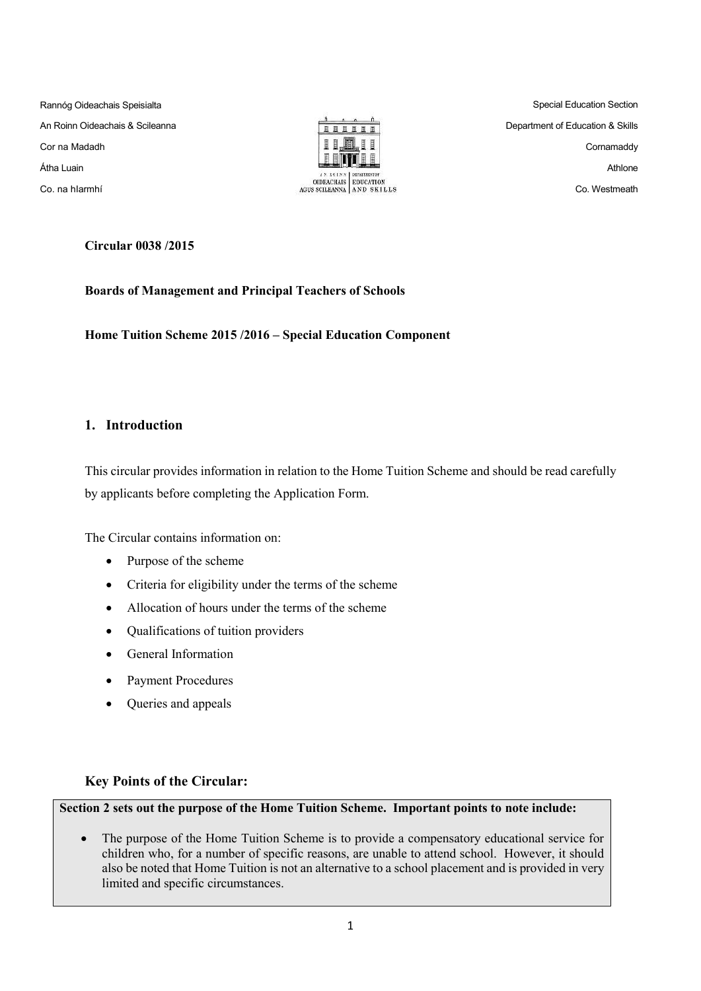Rannóg Oideachais Speisialta An Roinn Oideachais & Scileanna Cor na Madadh Átha Luain Co. na hIarmhí



Special Education Section Department of Education & Skills Cornamaddy Athlone Co. Westmeath

**Circular 0038 /2015**

**Boards of Management and Principal Teachers of Schools**

**Home Tuition Scheme 2015 /2016 – Special Education Component** 

# **1. Introduction**

This circular provides information in relation to the Home Tuition Scheme and should be read carefully by applicants before completing the Application Form.

The Circular contains information on:

- Purpose of the scheme
- Criteria for eligibility under the terms of the scheme
- Allocation of hours under the terms of the scheme
- Qualifications of tuition providers
- General Information
- Payment Procedures
- Queries and appeals

# **Key Points of the Circular:**

**Section 2 sets out the purpose of the Home Tuition Scheme. Important points to note include:**

 The purpose of the Home Tuition Scheme is to provide a compensatory educational service for children who, for a number of specific reasons, are unable to attend school. However, it should also be noted that Home Tuition is not an alternative to a school placement and is provided in very limited and specific circumstances.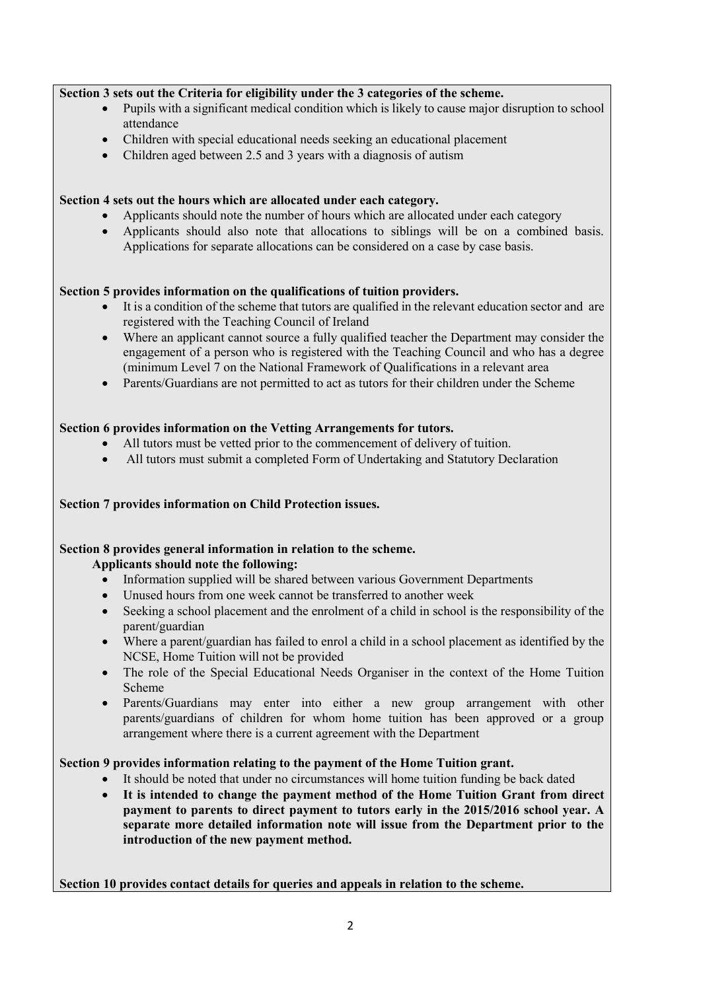# **Section 3 sets out the Criteria for eligibility under the 3 categories of the scheme.**

- Pupils with a significant medical condition which is likely to cause major disruption to school attendance
- Children with special educational needs seeking an educational placement
- Children aged between 2.5 and 3 years with a diagnosis of autism

# **Section 4 sets out the hours which are allocated under each category.**

- Applicants should note the number of hours which are allocated under each category
- Applicants should also note that allocations to siblings will be on a combined basis. Applications for separate allocations can be considered on a case by case basis.

# **Section 5 provides information on the qualifications of tuition providers.**

- It is a condition of the scheme that tutors are qualified in the relevant education sector and are registered with the Teaching Council of Ireland
- Where an applicant cannot source a fully qualified teacher the Department may consider the engagement of a person who is registered with the Teaching Council and who has a degree (minimum Level 7 on the National Framework of Qualifications in a relevant area
- Parents/Guardians are not permitted to act as tutors for their children under the Scheme

# **Section 6 provides information on the Vetting Arrangements for tutors.**

- All tutors must be vetted prior to the commencement of delivery of tuition.
- All tutors must submit a completed Form of Undertaking and Statutory Declaration

# **Section 7 provides information on Child Protection issues.**

# **Section 8 provides general information in relation to the scheme.**

#### **Applicants should note the following:**

- Information supplied will be shared between various Government Departments
- Unused hours from one week cannot be transferred to another week
- Seeking a school placement and the enrolment of a child in school is the responsibility of the parent/guardian
- Where a parent/guardian has failed to enrol a child in a school placement as identified by the NCSE, Home Tuition will not be provided
- The role of the Special Educational Needs Organiser in the context of the Home Tuition Scheme
- Parents/Guardians may enter into either a new group arrangement with other parents/guardians of children for whom home tuition has been approved or a group arrangement where there is a current agreement with the Department

# **Section 9 provides information relating to the payment of the Home Tuition grant.**

- It should be noted that under no circumstances will home tuition funding be back dated
- **It is intended to change the payment method of the Home Tuition Grant from direct payment to parents to direct payment to tutors early in the 2015/2016 school year. A separate more detailed information note will issue from the Department prior to the introduction of the new payment method.**

**Section 10 provides contact details for queries and appeals in relation to the scheme.**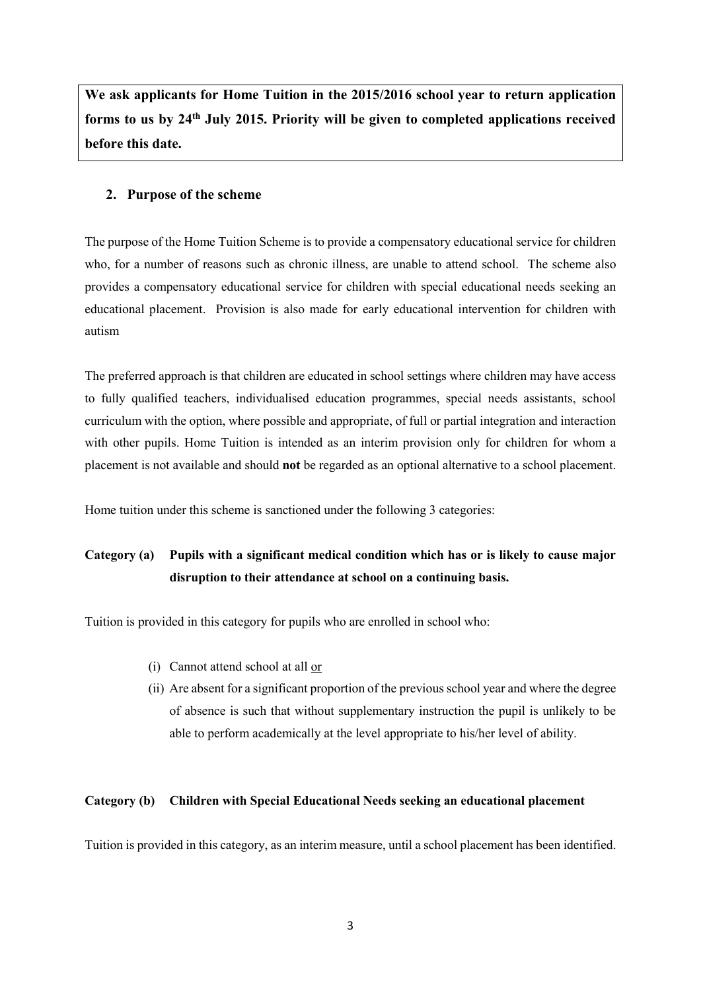**We ask applicants for Home Tuition in the 2015/2016 school year to return application forms to us by 24th July 2015. Priority will be given to completed applications received before this date.**

# **2. Purpose of the scheme**

The purpose of the Home Tuition Scheme is to provide a compensatory educational service for children who, for a number of reasons such as chronic illness, are unable to attend school. The scheme also provides a compensatory educational service for children with special educational needs seeking an educational placement. Provision is also made for early educational intervention for children with autism

The preferred approach is that children are educated in school settings where children may have access to fully qualified teachers, individualised education programmes, special needs assistants, school curriculum with the option, where possible and appropriate, of full or partial integration and interaction with other pupils. Home Tuition is intended as an interim provision only for children for whom a placement is not available and should **not** be regarded as an optional alternative to a school placement.

Home tuition under this scheme is sanctioned under the following 3 categories:

# **Category (a) Pupils with a significant medical condition which has or is likely to cause major disruption to their attendance at school on a continuing basis.**

Tuition is provided in this category for pupils who are enrolled in school who:

- (i) Cannot attend school at all or
- (ii) Are absent for a significant proportion of the previous school year and where the degree of absence is such that without supplementary instruction the pupil is unlikely to be able to perform academically at the level appropriate to his/her level of ability.

#### **Category (b) Children with Special Educational Needs seeking an educational placement**

Tuition is provided in this category, as an interim measure, until a school placement has been identified.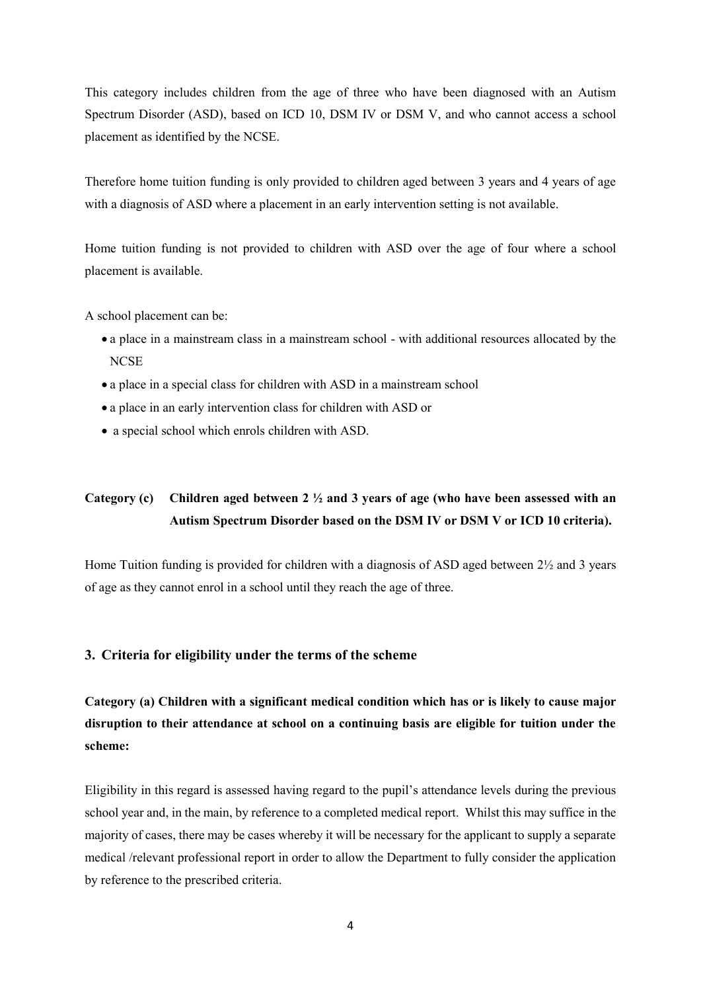This category includes children from the age of three who have been diagnosed with an Autism Spectrum Disorder (ASD), based on ICD 10, DSM IV or DSM V, and who cannot access a school placement as identified by the NCSE.

Therefore home tuition funding is only provided to children aged between 3 years and 4 years of age with a diagnosis of ASD where a placement in an early intervention setting is not available.

Home tuition funding is not provided to children with ASD over the age of four where a school placement is available.

A school placement can be:

- a place in a mainstream class in a mainstream school with additional resources allocated by the **NCSE**
- a place in a special class for children with ASD in a mainstream school
- a place in an early intervention class for children with ASD or
- a special school which enrols children with ASD.

# **Category (c) Children aged between 2 ½ and 3 years of age (who have been assessed with an Autism Spectrum Disorder based on the DSM IV or DSM V or ICD 10 criteria).**

Home Tuition funding is provided for children with a diagnosis of ASD aged between 2½ and 3 years of age as they cannot enrol in a school until they reach the age of three.

#### **3. Criteria for eligibility under the terms of the scheme**

**Category (a) Children with a significant medical condition which has or is likely to cause major disruption to their attendance at school on a continuing basis are eligible for tuition under the scheme:** 

Eligibility in this regard is assessed having regard to the pupil's attendance levels during the previous school year and, in the main, by reference to a completed medical report. Whilst this may suffice in the majority of cases, there may be cases whereby it will be necessary for the applicant to supply a separate medical /relevant professional report in order to allow the Department to fully consider the application by reference to the prescribed criteria.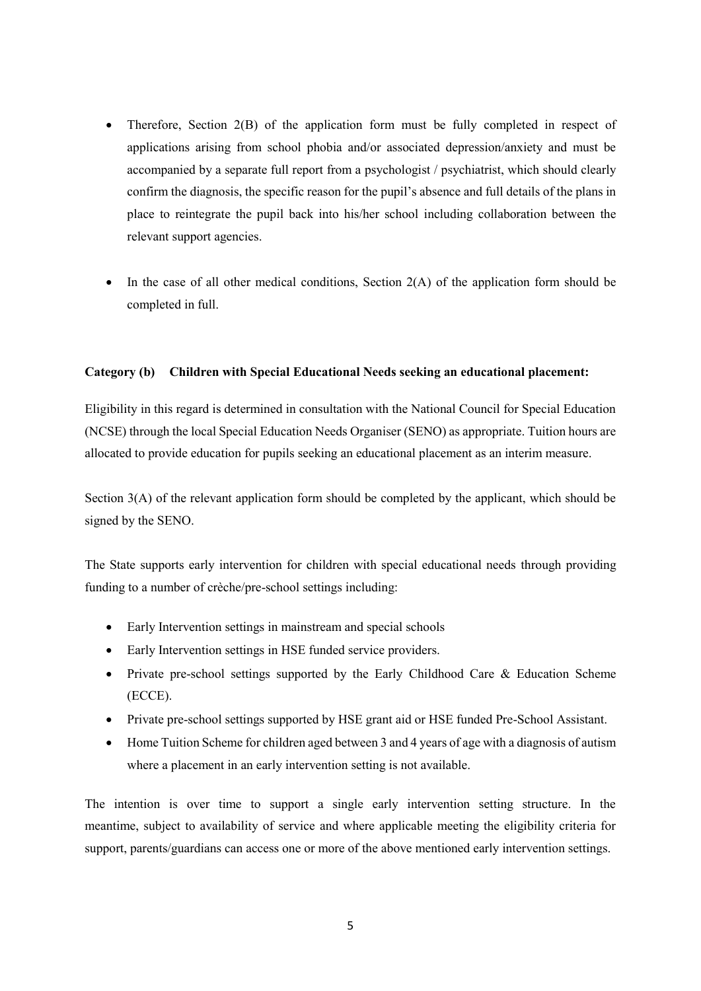- Therefore, Section 2(B) of the application form must be fully completed in respect of applications arising from school phobia and/or associated depression/anxiety and must be accompanied by a separate full report from a psychologist / psychiatrist, which should clearly confirm the diagnosis, the specific reason for the pupil's absence and full details of the plans in place to reintegrate the pupil back into his/her school including collaboration between the relevant support agencies.
- $\bullet$  In the case of all other medical conditions, Section 2(A) of the application form should be completed in full.

#### **Category (b) Children with Special Educational Needs seeking an educational placement:**

Eligibility in this regard is determined in consultation with the National Council for Special Education (NCSE) through the local Special Education Needs Organiser (SENO) as appropriate. Tuition hours are allocated to provide education for pupils seeking an educational placement as an interim measure.

Section 3(A) of the relevant application form should be completed by the applicant, which should be signed by the SENO.

The State supports early intervention for children with special educational needs through providing funding to a number of crèche/pre-school settings including:

- Early Intervention settings in mainstream and special schools
- Early Intervention settings in HSE funded service providers.
- Private pre-school settings supported by the Early Childhood Care & Education Scheme (ECCE).
- Private pre-school settings supported by HSE grant aid or HSE funded Pre-School Assistant.
- Home Tuition Scheme for children aged between 3 and 4 years of age with a diagnosis of autism where a placement in an early intervention setting is not available.

The intention is over time to support a single early intervention setting structure. In the meantime, subject to availability of service and where applicable meeting the eligibility criteria for support, parents/guardians can access one or more of the above mentioned early intervention settings.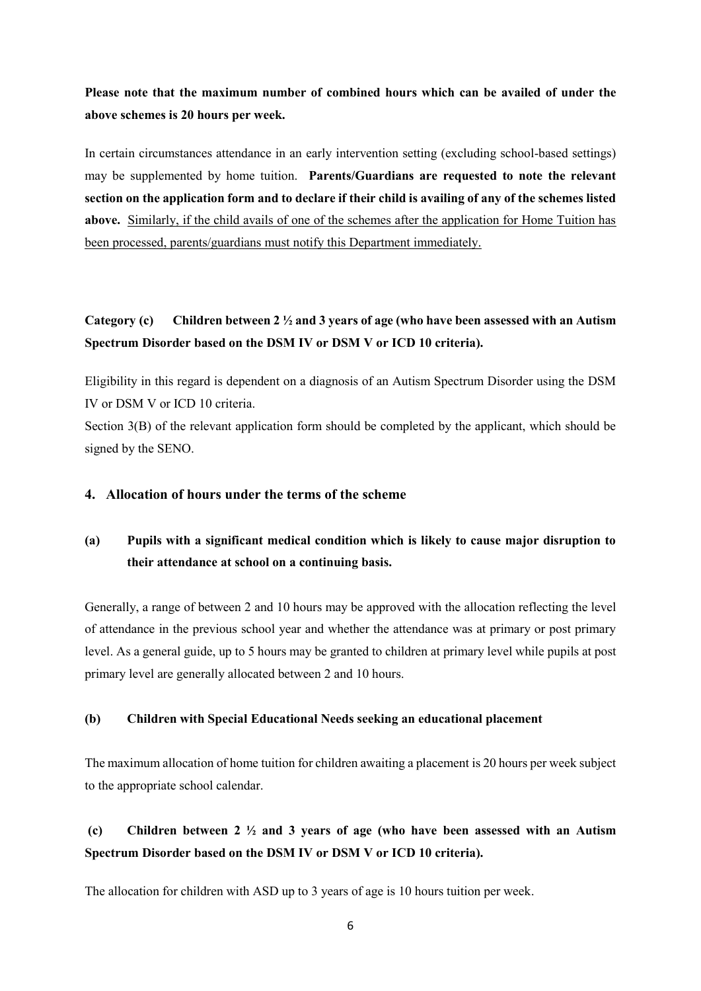**Please note that the maximum number of combined hours which can be availed of under the above schemes is 20 hours per week.** 

In certain circumstances attendance in an early intervention setting (excluding school-based settings) may be supplemented by home tuition. **Parents/Guardians are requested to note the relevant section on the application form and to declare if their child is availing of any of the schemes listed above.** Similarly, if the child avails of one of the schemes after the application for Home Tuition has been processed, parents/guardians must notify this Department immediately.

# **Category (c) Children between 2 ½ and 3 years of age (who have been assessed with an Autism Spectrum Disorder based on the DSM IV or DSM V or ICD 10 criteria).**

Eligibility in this regard is dependent on a diagnosis of an Autism Spectrum Disorder using the DSM IV or DSM V or ICD 10 criteria.

Section 3(B) of the relevant application form should be completed by the applicant, which should be signed by the SENO.

# **4. Allocation of hours under the terms of the scheme**

# **(a) Pupils with a significant medical condition which is likely to cause major disruption to their attendance at school on a continuing basis.**

Generally, a range of between 2 and 10 hours may be approved with the allocation reflecting the level of attendance in the previous school year and whether the attendance was at primary or post primary level. As a general guide, up to 5 hours may be granted to children at primary level while pupils at post primary level are generally allocated between 2 and 10 hours.

# **(b) Children with Special Educational Needs seeking an educational placement**

The maximum allocation of home tuition for children awaiting a placement is 20 hours per week subject to the appropriate school calendar.

# **(c) Children between 2 ½ and 3 years of age (who have been assessed with an Autism Spectrum Disorder based on the DSM IV or DSM V or ICD 10 criteria).**

The allocation for children with ASD up to 3 years of age is 10 hours tuition per week.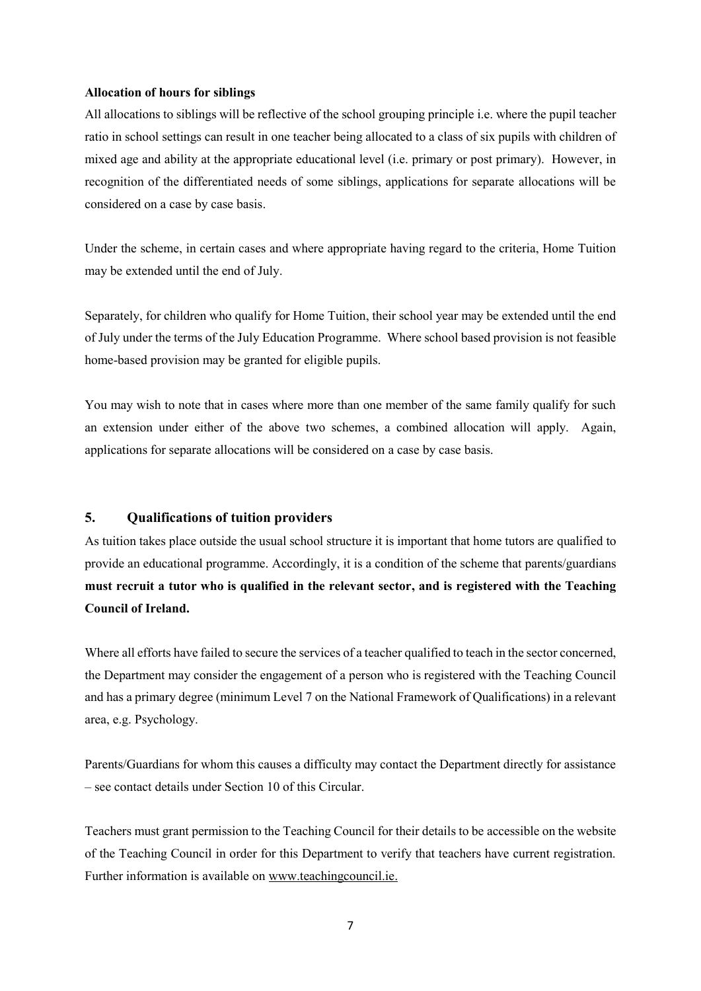#### **Allocation of hours for siblings**

All allocations to siblings will be reflective of the school grouping principle i.e. where the pupil teacher ratio in school settings can result in one teacher being allocated to a class of six pupils with children of mixed age and ability at the appropriate educational level (i.e. primary or post primary). However, in recognition of the differentiated needs of some siblings, applications for separate allocations will be considered on a case by case basis.

Under the scheme, in certain cases and where appropriate having regard to the criteria, Home Tuition may be extended until the end of July.

Separately, for children who qualify for Home Tuition, their school year may be extended until the end of July under the terms of the July Education Programme. Where school based provision is not feasible home-based provision may be granted for eligible pupils.

You may wish to note that in cases where more than one member of the same family qualify for such an extension under either of the above two schemes, a combined allocation will apply. Again, applications for separate allocations will be considered on a case by case basis.

#### **5. Qualifications of tuition providers**

As tuition takes place outside the usual school structure it is important that home tutors are qualified to provide an educational programme. Accordingly, it is a condition of the scheme that parents/guardians **must recruit a tutor who is qualified in the relevant sector, and is registered with the Teaching Council of Ireland.**

Where all efforts have failed to secure the services of a teacher qualified to teach in the sector concerned, the Department may consider the engagement of a person who is registered with the Teaching Council and has a primary degree (minimum Level 7 on the National Framework of Qualifications) in a relevant area, e.g. Psychology.

Parents/Guardians for whom this causes a difficulty may contact the Department directly for assistance – see contact details under Section 10 of this Circular.

Teachers must grant permission to the Teaching Council for their details to be accessible on the website of the Teaching Council in order for this Department to verify that teachers have current registration. Further information is available on [www.teachingcouncil.ie.](http://www.teachingcouncil.ie/)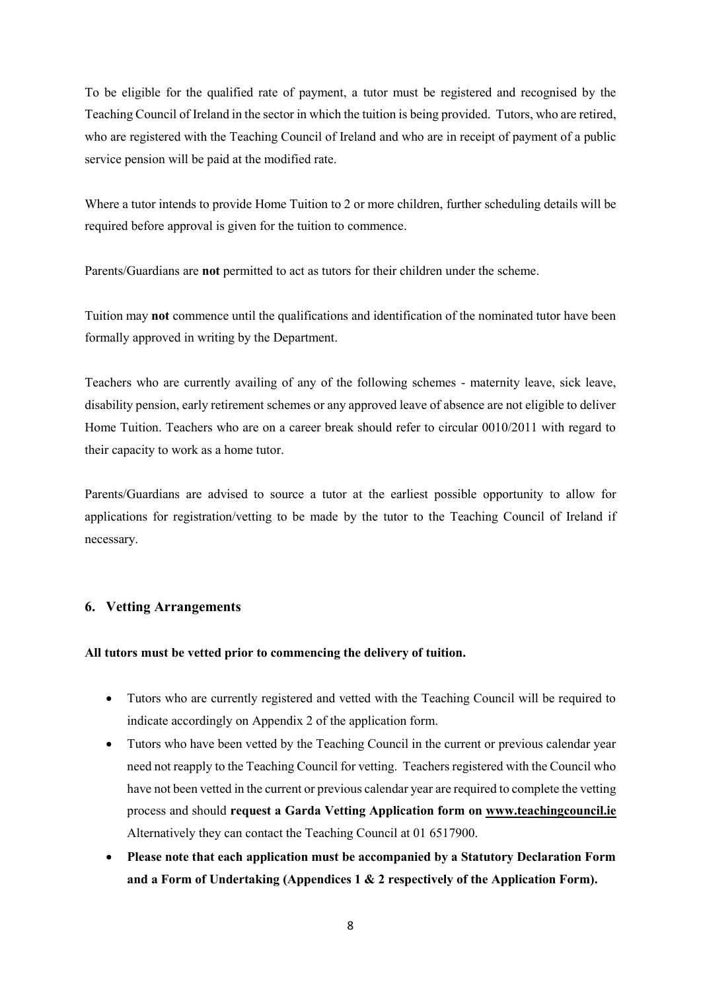To be eligible for the qualified rate of payment, a tutor must be registered and recognised by the Teaching Council of Ireland in the sector in which the tuition is being provided. Tutors, who are retired, who are registered with the Teaching Council of Ireland and who are in receipt of payment of a public service pension will be paid at the modified rate.

Where a tutor intends to provide Home Tuition to 2 or more children, further scheduling details will be required before approval is given for the tuition to commence.

Parents/Guardians are **not** permitted to act as tutors for their children under the scheme.

Tuition may **not** commence until the qualifications and identification of the nominated tutor have been formally approved in writing by the Department.

Teachers who are currently availing of any of the following schemes - maternity leave, sick leave, disability pension, early retirement schemes or any approved leave of absence are not eligible to deliver Home Tuition. Teachers who are on a career break should refer to circular 0010/2011 with regard to their capacity to work as a home tutor.

Parents/Guardians are advised to source a tutor at the earliest possible opportunity to allow for applications for registration/vetting to be made by the tutor to the Teaching Council of Ireland if necessary.

# **6. Vetting Arrangements**

#### **All tutors must be vetted prior to commencing the delivery of tuition.**

- Tutors who are currently registered and vetted with the Teaching Council will be required to indicate accordingly on Appendix 2 of the application form.
- Tutors who have been vetted by the Teaching Council in the current or previous calendar year need not reapply to the Teaching Council for vetting. Teachers registered with the Council who have not been vetted in the current or previous calendar year are required to complete the vetting process and should **request a Garda Vetting Application form on [www.teachingcouncil.ie](http://www.teachingcouncil.ie/)** Alternatively they can contact the Teaching Council at 01 6517900.
- **Please note that each application must be accompanied by a Statutory Declaration Form and a Form of Undertaking (Appendices 1 & 2 respectively of the Application Form).**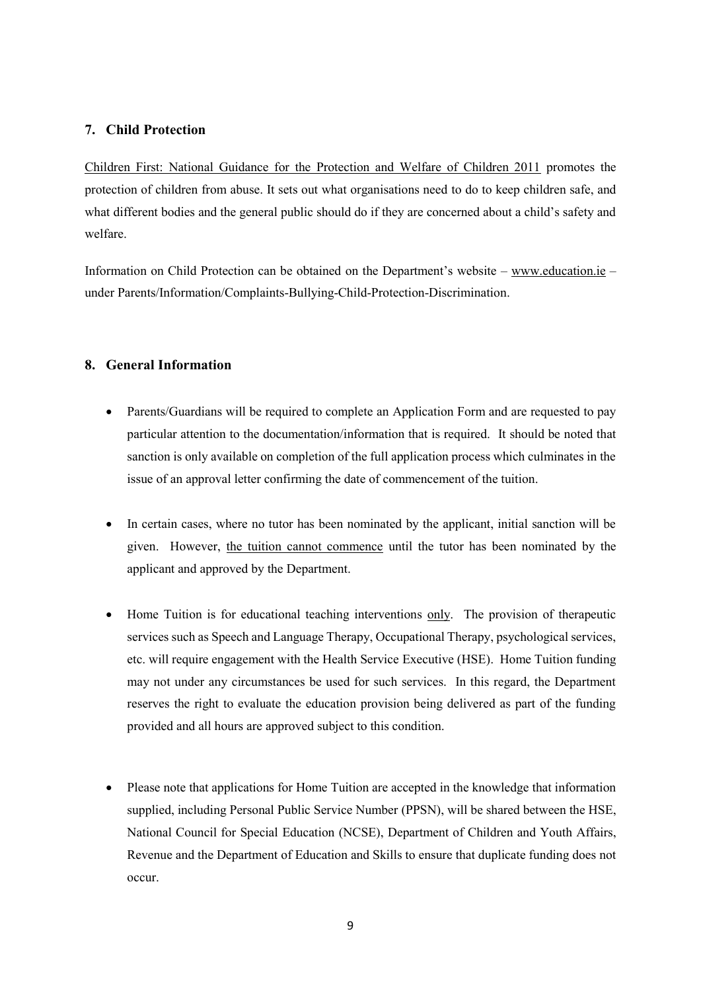# **7. Child Protection**

[Children First: National Guidance for the Protection and Welfare of Children 2011](http://www.dcya.gov.ie/documents/child_welfare_protection/ChildrenFirst.pdf) promotes the protection of children from abuse. It sets out what organisations need to do to keep children safe, and what different bodies and the general public should do if they are concerned about a child's safety and welfare.

Information on Child Protection can be obtained on the Department's website – [www.education.ie](http://www.education.ie/) – under Parents/Information/Complaints-Bullying-Child-Protection-Discrimination.

# **8. General Information**

- Parents/Guardians will be required to complete an Application Form and are requested to pay particular attention to the documentation/information that is required. It should be noted that sanction is only available on completion of the full application process which culminates in the issue of an approval letter confirming the date of commencement of the tuition.
- In certain cases, where no tutor has been nominated by the applicant, initial sanction will be given. However, the tuition cannot commence until the tutor has been nominated by the applicant and approved by the Department.
- Home Tuition is for educational teaching interventions only. The provision of therapeutic services such as Speech and Language Therapy, Occupational Therapy, psychological services, etc. will require engagement with the Health Service Executive (HSE). Home Tuition funding may not under any circumstances be used for such services. In this regard, the Department reserves the right to evaluate the education provision being delivered as part of the funding provided and all hours are approved subject to this condition.
- Please note that applications for Home Tuition are accepted in the knowledge that information supplied, including Personal Public Service Number (PPSN), will be shared between the HSE, National Council for Special Education (NCSE), Department of Children and Youth Affairs, Revenue and the Department of Education and Skills to ensure that duplicate funding does not occur.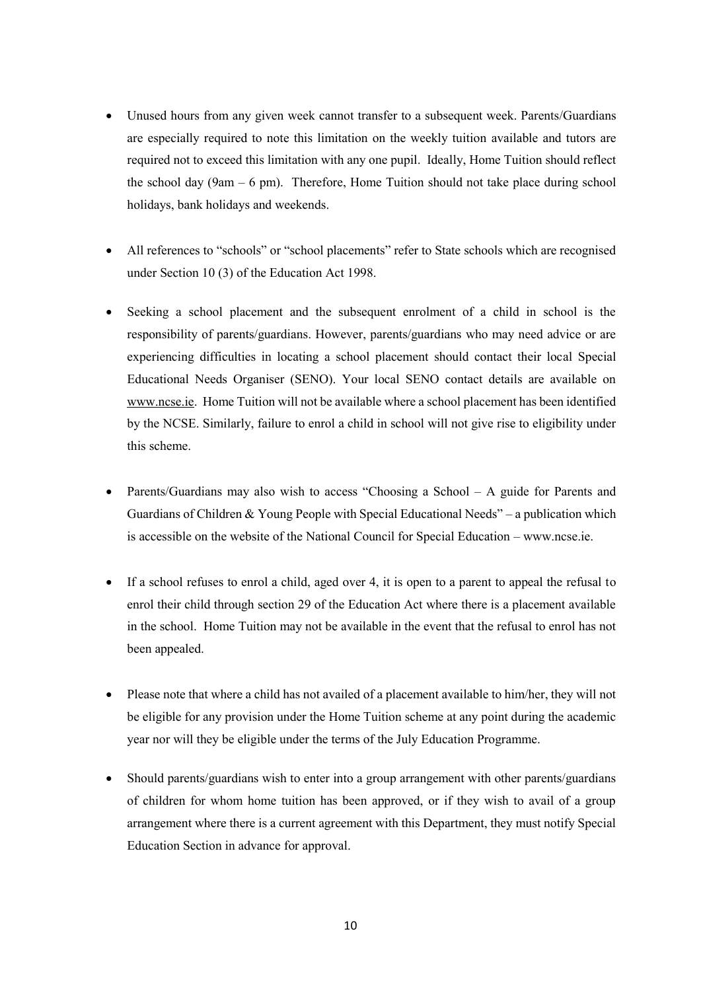- Unused hours from any given week cannot transfer to a subsequent week. Parents/Guardians are especially required to note this limitation on the weekly tuition available and tutors are required not to exceed this limitation with any one pupil. Ideally, Home Tuition should reflect the school day (9am  $-$  6 pm). Therefore, Home Tuition should not take place during school holidays, bank holidays and weekends.
- All references to "schools" or "school placements" refer to State schools which are recognised under Section 10 (3) of the Education Act 1998.
- Seeking a school placement and the subsequent enrolment of a child in school is the responsibility of parents/guardians. However, parents/guardians who may need advice or are experiencing difficulties in locating a school placement should contact their local Special Educational Needs Organiser (SENO). Your local SENO contact details are available on [www.ncse.ie.](http://www.ncse.ie/) Home Tuition will not be available where a school placement has been identified by the NCSE. Similarly, failure to enrol a child in school will not give rise to eligibility under this scheme.
- Parents/Guardians may also wish to access "Choosing a School A guide for Parents and Guardians of Children & Young People with Special Educational Needs" – a publication which is accessible on the website of the National Council for Special Education – www.ncse.ie.
- If a school refuses to enrol a child, aged over 4, it is open to a parent to appeal the refusal to enrol their child through section 29 of the Education Act where there is a placement available in the school. Home Tuition may not be available in the event that the refusal to enrol has not been appealed.
- Please note that where a child has not availed of a placement available to him/her, they will not be eligible for any provision under the Home Tuition scheme at any point during the academic year nor will they be eligible under the terms of the July Education Programme.
- Should parents/guardians wish to enter into a group arrangement with other parents/guardians of children for whom home tuition has been approved, or if they wish to avail of a group arrangement where there is a current agreement with this Department, they must notify Special Education Section in advance for approval.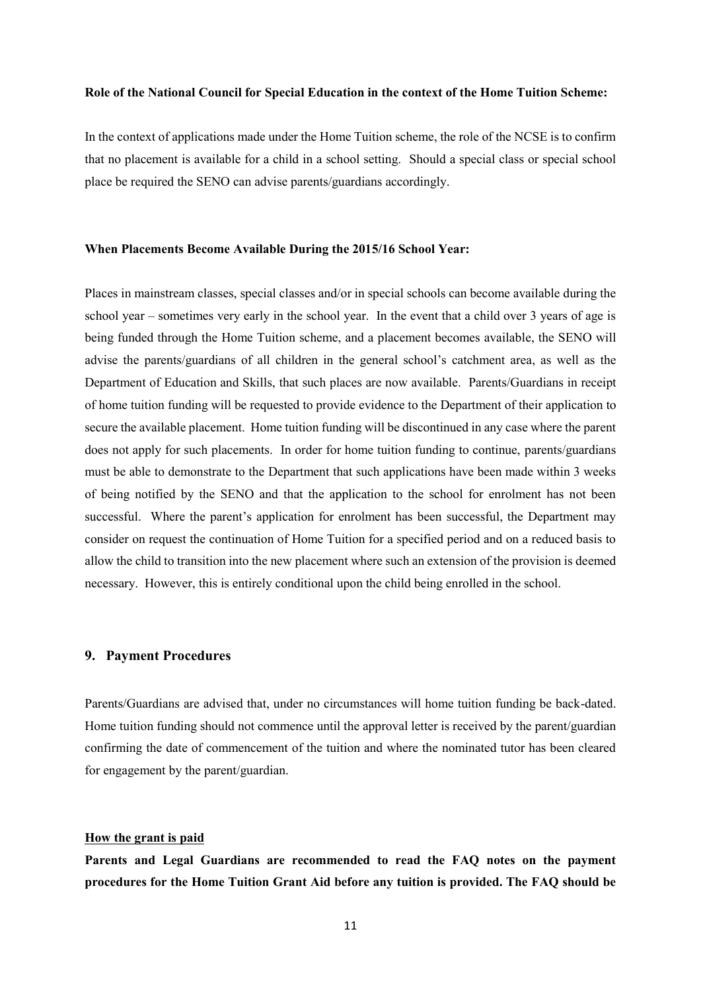#### **Role of the National Council for Special Education in the context of the Home Tuition Scheme:**

In the context of applications made under the Home Tuition scheme, the role of the NCSE is to confirm that no placement is available for a child in a school setting. Should a special class or special school place be required the SENO can advise parents/guardians accordingly.

#### **When Placements Become Available During the 2015/16 School Year:**

Places in mainstream classes, special classes and/or in special schools can become available during the school year – sometimes very early in the school year. In the event that a child over 3 years of age is being funded through the Home Tuition scheme, and a placement becomes available, the SENO will advise the parents/guardians of all children in the general school's catchment area, as well as the Department of Education and Skills, that such places are now available. Parents/Guardians in receipt of home tuition funding will be requested to provide evidence to the Department of their application to secure the available placement. Home tuition funding will be discontinued in any case where the parent does not apply for such placements. In order for home tuition funding to continue, parents/guardians must be able to demonstrate to the Department that such applications have been made within 3 weeks of being notified by the SENO and that the application to the school for enrolment has not been successful. Where the parent's application for enrolment has been successful, the Department may consider on request the continuation of Home Tuition for a specified period and on a reduced basis to allow the child to transition into the new placement where such an extension of the provision is deemed necessary. However, this is entirely conditional upon the child being enrolled in the school.

#### **9. Payment Procedures**

Parents/Guardians are advised that, under no circumstances will home tuition funding be back-dated. Home tuition funding should not commence until the approval letter is received by the parent/guardian confirming the date of commencement of the tuition and where the nominated tutor has been cleared for engagement by the parent/guardian.

#### **How the grant is paid**

**Parents and Legal Guardians are recommended to read the FAQ notes on the payment procedures for the Home Tuition Grant Aid before any tuition is provided. The FAQ should be**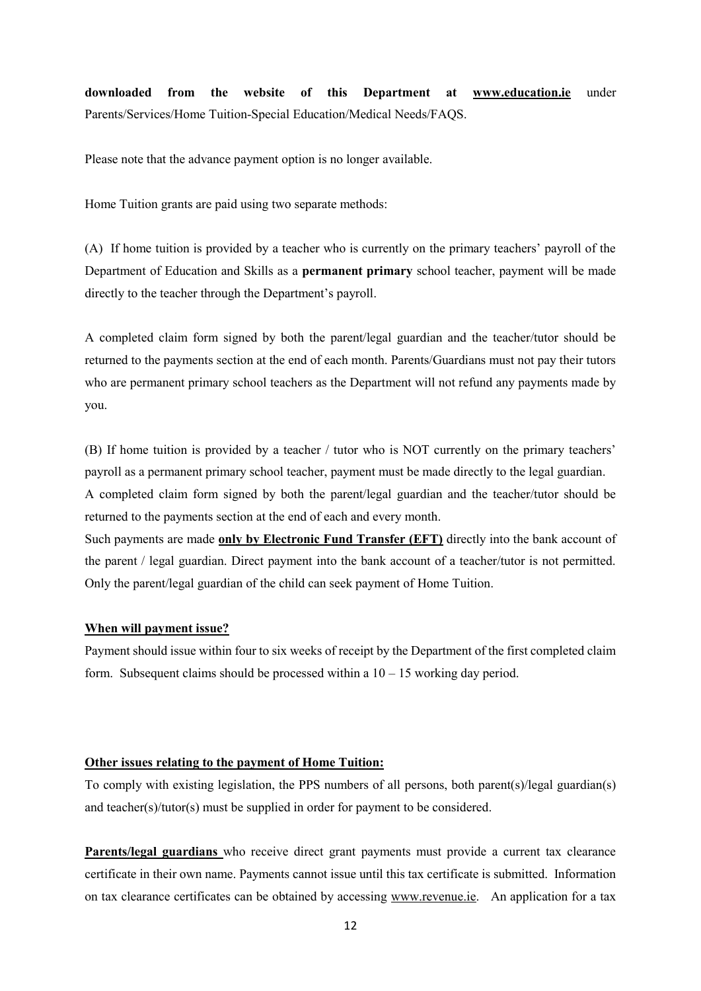**downloaded from the website of this Department at [www.education.ie](http://www.education.ie/)** under Parents/Services/Home Tuition-Special Education/Medical Needs/FAQS.

Please note that the advance payment option is no longer available.

Home Tuition grants are paid using two separate methods:

(A) If home tuition is provided by a teacher who is currently on the primary teachers' payroll of the Department of Education and Skills as a **permanent primary** school teacher, payment will be made directly to the teacher through the Department's payroll.

A completed claim form signed by both the parent/legal guardian and the teacher/tutor should be returned to the payments section at the end of each month. Parents/Guardians must not pay their tutors who are permanent primary school teachers as the Department will not refund any payments made by you.

(B) If home tuition is provided by a teacher / tutor who is NOT currently on the primary teachers' payroll as a permanent primary school teacher, payment must be made directly to the legal guardian. A completed claim form signed by both the parent/legal guardian and the teacher/tutor should be returned to the payments section at the end of each and every month. Such payments are made **only by Electronic Fund Transfer (EFT)** directly into the bank account of the parent / legal guardian. Direct payment into the bank account of a teacher/tutor is not permitted. Only the parent/legal guardian of the child can seek payment of Home Tuition.

#### **When will payment issue?**

Payment should issue within four to six weeks of receipt by the Department of the first completed claim form. Subsequent claims should be processed within a  $10 - 15$  working day period.

### **Other issues relating to the payment of Home Tuition:**

To comply with existing legislation, the PPS numbers of all persons, both parent(s)/legal guardian(s) and teacher(s)/tutor(s) must be supplied in order for payment to be considered.

**Parents/legal guardians** who receive direct grant payments must provide a current tax clearance certificate in their own name. Payments cannot issue until this tax certificate is submitted. Information on tax clearance certificates can be obtained by accessing [www.revenue.ie.](http://www.revenue.ie/) An application for a tax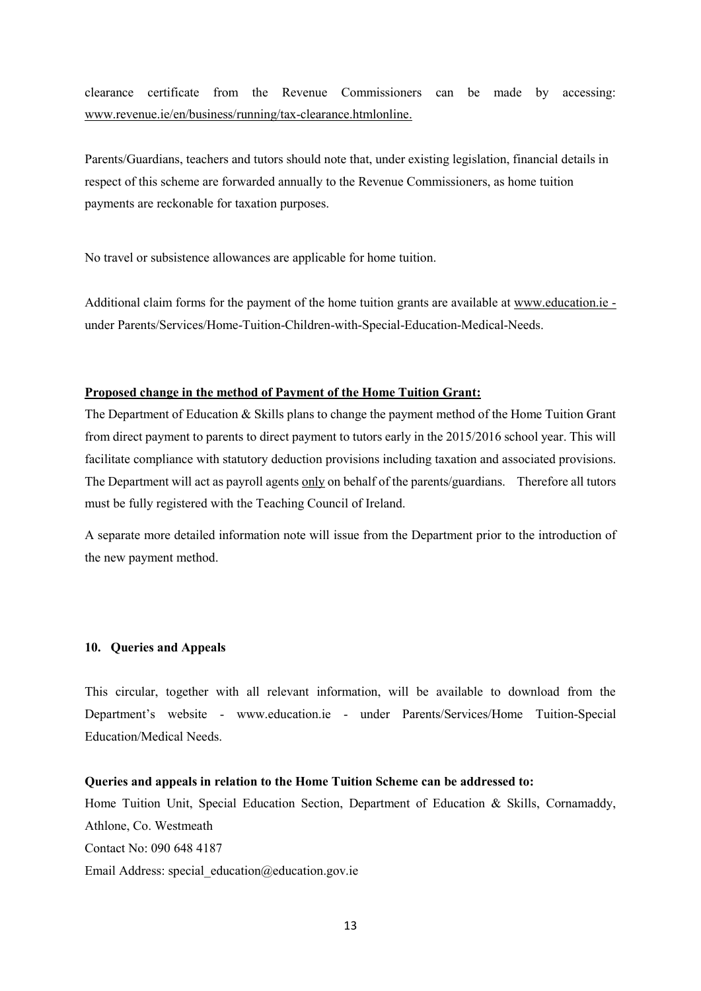clearance certificate from the Revenue Commissioners can be made by accessing: [www.revenue.ie/en/business/running/tax-clearance.htmlonline.](http://www.revenue.ie/en/business/running/tax-clearance.htmlonline)

Parents/Guardians, teachers and tutors should note that, under existing legislation, financial details in respect of this scheme are forwarded annually to the Revenue Commissioners, as home tuition payments are reckonable for taxation purposes.

No travel or subsistence allowances are applicable for home tuition.

Additional claim forms for the payment of the home tuition grants are available at [www.education.ie](http://www.education.ie/) under Parents/Services/Home-Tuition-Children-with-Special-Education-Medical-Needs.

### **Proposed change in the method of Payment of the Home Tuition Grant:**

The Department of Education & Skills plans to change the payment method of the Home Tuition Grant from direct payment to parents to direct payment to tutors early in the 2015/2016 school year. This will facilitate compliance with statutory deduction provisions including taxation and associated provisions. The Department will act as payroll agents only on behalf of the parents/guardians. Therefore all tutors must be fully registered with the Teaching Council of Ireland.

A separate more detailed information note will issue from the Department prior to the introduction of the new payment method.

#### **10. Queries and Appeals**

This circular, together with all relevant information, will be available to download from the Department's website - www.education.ie - under Parents/Services/Home Tuition-Special Education/Medical Needs.

### **Queries and appeals in relation to the Home Tuition Scheme can be addressed to:**

Home Tuition Unit, Special Education Section, Department of Education & Skills, Cornamaddy, Athlone, Co. Westmeath Contact No: 090 648 4187 Email Address: special\_education@education.gov.ie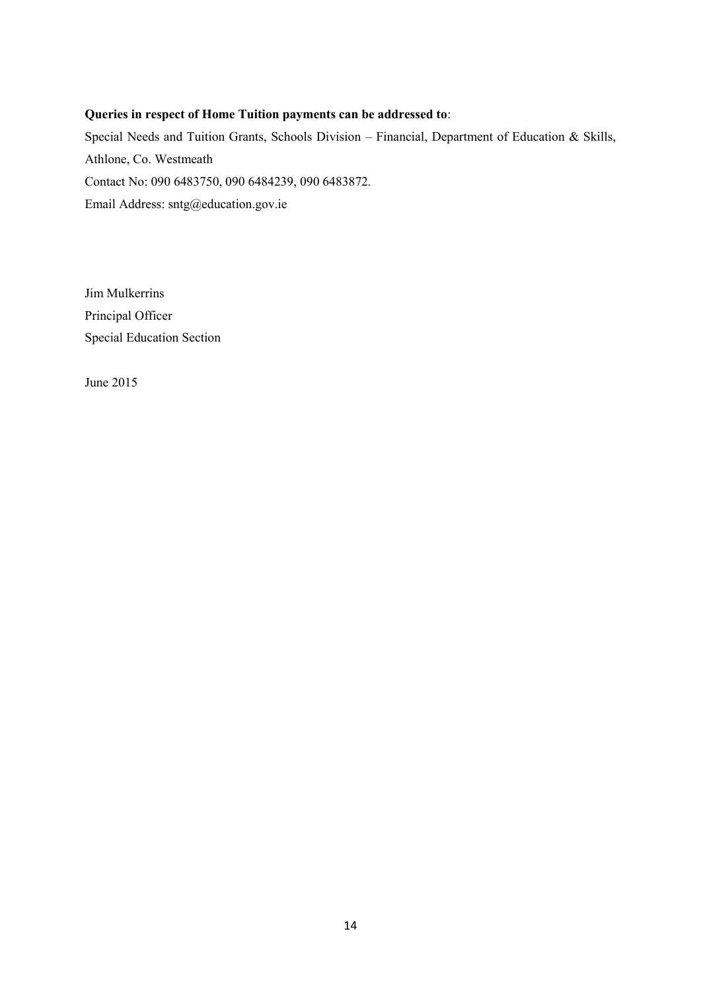### **Queries in respect of Home Tuition payments can be addressed to**:

Special Needs and Tuition Grants, Schools Division – Financial, Department of Education & Skills, Athlone, Co. Westmeath Contact No: 090 6483750, 090 6484239, 090 6483872. Email Address: sntg@education.gov.ie

Jim Mulkerrins Principal Officer Special Education Section

June 2015